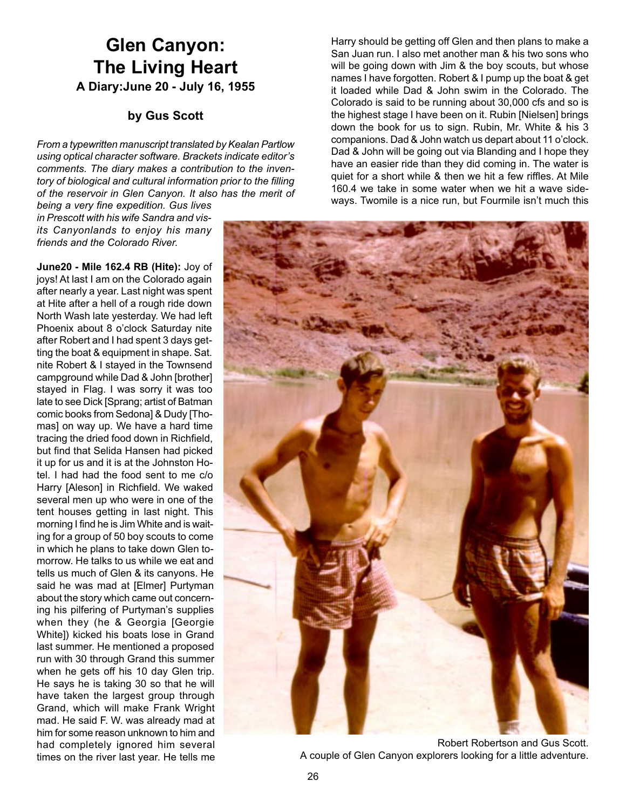# **Glen Canyon: The Living Heart A Diary:June 20 - July 16, 1955**

# **by Gus Scott**

*From a typewritten manuscript translated by Kealan Partlow using optical character software. Brackets indicate editor's comments. The diary makes a contribution to the inventory of biological and cultural information prior to the filling of the reservoir in Glen Canyon. It also has the merit of*

*being a very fine expedition. Gus lives in Prescott with his wife Sandra and visits Canyonlands to enjoy his many friends and the Colorado River.*

**June20 - Mile 162.4 RB (Hite):** Joy of joys! At last I am on the Colorado again after nearly a year. Last night was spent at Hite after a hell of a rough ride down North Wash late yesterday. We had left Phoenix about 8 o'clock Saturday nite after Robert and I had spent 3 days getting the boat & equipment in shape. Sat. nite Robert & I stayed in the Townsend campground while Dad & John [brother] stayed in Flag. I was sorry it was too late to see Dick [Sprang; artist of Batman comic books from Sedona] & Dudy [Thomas] on way up. We have a hard time tracing the dried food down in Richfield, but find that Selida Hansen had picked it up for us and it is at the Johnston Hotel. I had had the food sent to me c/o Harry [Aleson] in Richfield. We waked several men up who were in one of the tent houses getting in last night. This morning I find he is Jim White and is waiting for a group of 50 boy scouts to come in which he plans to take down Glen tomorrow. He talks to us while we eat and tells us much of Glen & its canyons. He said he was mad at [Elmer] Purtyman about the story which came out concerning his pilfering of Purtyman's supplies when they (he & Georgia [Georgie White]) kicked his boats lose in Grand last summer. He mentioned a proposed run with 30 through Grand this summer when he gets off his 10 day Glen trip. He says he is taking 30 so that he will have taken the largest group through Grand, which will make Frank Wright mad. He said F. W. was already mad at him for some reason unknown to him and had completely ignored him several times on the river last year. He tells me

Harry should be getting off Glen and then plans to make a San Juan run. I also met another man & his two sons who will be going down with Jim & the boy scouts, but whose names I have forgotten. Robert & I pump up the boat & get it loaded while Dad & John swim in the Colorado. The Colorado is said to be running about 30,000 cfs and so is the highest stage I have been on it. Rubin [Nielsen] brings down the book for us to sign. Rubin, Mr. White & his 3 companions. Dad & John watch us depart about 11 o'clock. Dad & John will be going out via Blanding and I hope they have an easier ride than they did coming in. The water is quiet for a short while & then we hit a few riffles. At Mile 160.4 we take in some water when we hit a wave sideways. Twomile is a nice run, but Fourmile isn't much this



Robert Robertson and Gus Scott. A couple of Glen Canyon explorers looking for a little adventure.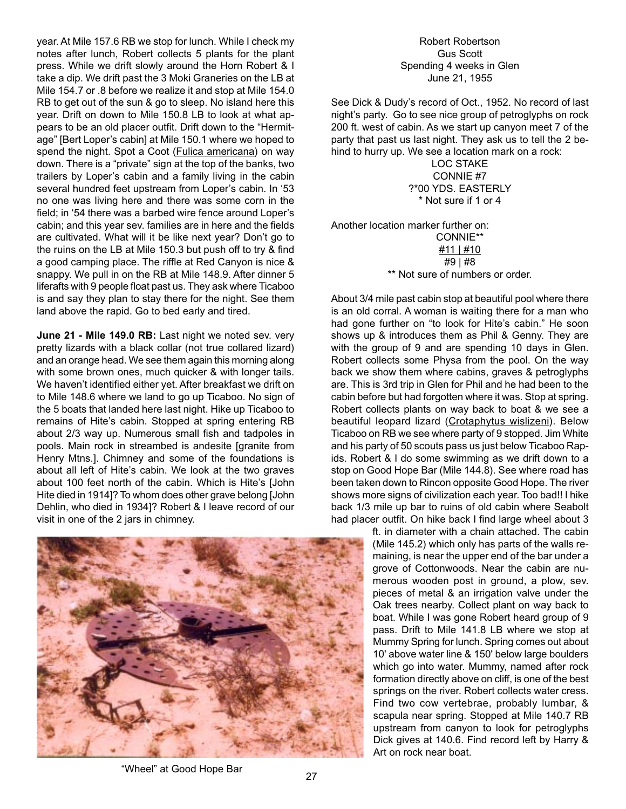year. At Mile 157.6 RB we stop for lunch. While I check my notes after lunch, Robert collects 5 plants for the plant press. While we drift slowly around the Horn Robert & I take a dip. We drift past the 3 Moki Graneries on the LB at Mile 154.7 or .8 before we realize it and stop at Mile 154.0 RB to get out of the sun & go to sleep. No island here this year. Drift on down to Mile 150.8 LB to look at what appears to be an old placer outfit. Drift down to the "Hermitage" [Bert Loper's cabin] at Mile 150.1 where we hoped to spend the night. Spot a Coot (Fulica americana) on way down. There is a "private" sign at the top of the banks, two trailers by Loper's cabin and a family living in the cabin several hundred feet upstream from Loper's cabin. In '53 no one was living here and there was some corn in the field; in '54 there was a barbed wire fence around Loper's cabin; and this year sev. families are in here and the fields are cultivated. What will it be like next year? Don't go to the ruins on the LB at Mile 150.3 but push off to try & find a good camping place. The riffle at Red Canyon is nice & snappy. We pull in on the RB at Mile 148.9. After dinner 5 liferafts with 9 people float past us. They ask where Ticaboo is and say they plan to stay there for the night. See them land above the rapid. Go to bed early and tired.

**June 21 - Mile 149.0 RB:** Last night we noted sev. very pretty lizards with a black collar (not true collared lizard) and an orange head. We see them again this morning along with some brown ones, much quicker & with longer tails. We haven't identified either yet. After breakfast we drift on to Mile 148.6 where we land to go up Ticaboo. No sign of the 5 boats that landed here last night. Hike up Ticaboo to remains of Hite's cabin. Stopped at spring entering RB about 2/3 way up. Numerous small fish and tadpoles in pools. Main rock in streambed is andesite [granite from Henry Mtns.]. Chimney and some of the foundations is about all left of Hite's cabin. We look at the two graves about 100 feet north of the cabin. Which is Hite's [John Hite died in 1914]? To whom does other grave belong [John Dehlin, who died in 1934]? Robert & I leave record of our visit in one of the 2 jars in chimney.



## Robert Robertson Gus Scott Spending 4 weeks in Glen June 21, 1955

See Dick & Dudy's record of Oct., 1952. No record of last night's party. Go to see nice group of petroglyphs on rock 200 ft. west of cabin. As we start up canyon meet 7 of the party that past us last night. They ask us to tell the 2 behind to hurry up. We see a location mark on a rock:

LOC STAKE CONNIE #7 ?\*00 YDS. EASTERLY \* Not sure if 1 or 4

Another location marker further on: CONNIE\*\* #11 | #10 #9 | #8

\*\* Not sure of numbers or order.

About 3/4 mile past cabin stop at beautiful pool where there is an old corral. A woman is waiting there for a man who had gone further on "to look for Hite's cabin." He soon shows up & introduces them as Phil & Genny. They are with the group of 9 and are spending 10 days in Glen. Robert collects some Physa from the pool. On the way back we show them where cabins, graves & petroglyphs are. This is 3rd trip in Glen for Phil and he had been to the cabin before but had forgotten where it was. Stop at spring. Robert collects plants on way back to boat & we see a beautiful leopard lizard (Crotaphytus wislizeni). Below Ticaboo on RB we see where party of 9 stopped. Jim White and his party of 50 scouts pass us just below Ticaboo Rapids. Robert & I do some swimming as we drift down to a stop on Good Hope Bar (Mile 144.8). See where road has been taken down to Rincon opposite Good Hope. The river shows more signs of civilization each year. Too bad!! I hike back 1/3 mile up bar to ruins of old cabin where Seabolt had placer outfit. On hike back I find large wheel about 3

> ft. in diameter with a chain attached. The cabin (Mile 145.2) which only has parts of the walls remaining, is near the upper end of the bar under a grove of Cottonwoods. Near the cabin are numerous wooden post in ground, a plow, sev. pieces of metal & an irrigation valve under the Oak trees nearby. Collect plant on way back to boat. While I was gone Robert heard group of 9 pass. Drift to Mile 141.8 LB where we stop at Mummy Spring for lunch. Spring comes out about 10' above water line & 150' below large boulders which go into water. Mummy, named after rock formation directly above on cliff, is one of the best springs on the river. Robert collects water cress. Find two cow vertebrae, probably lumbar, & scapula near spring. Stopped at Mile 140.7 RB upstream from canyon to look for petroglyphs Dick gives at 140.6. Find record left by Harry & Art on rock near boat.

<sup>&</sup>quot;Wheel" at Good Hope Bar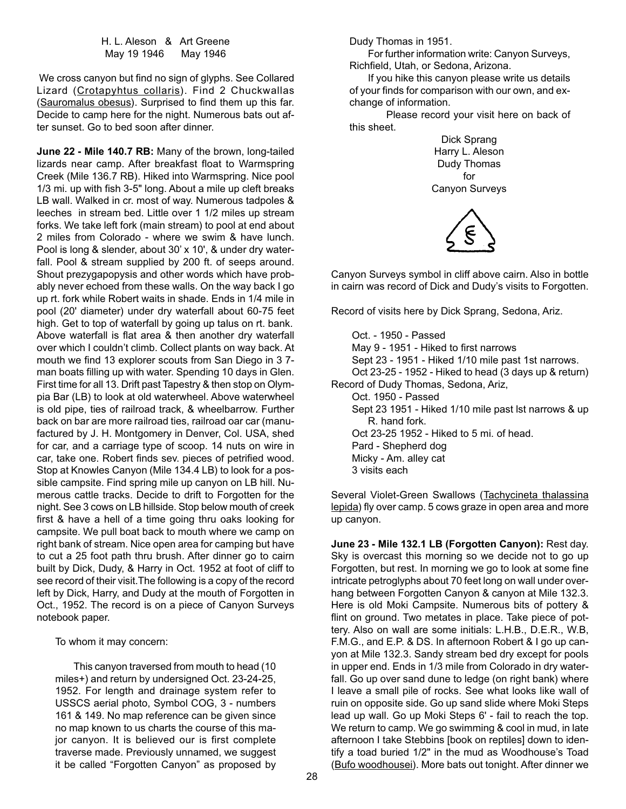H. L. Aleson & Art Greene May 19 1946 May 1946

We cross canyon but find no sign of glyphs. See Collared Lizard (Crotapyhtus collaris). Find 2 Chuckwallas (Sauromalus obesus). Surprised to find them up this far. Decide to camp here for the night. Numerous bats out after sunset. Go to bed soon after dinner.

**June 22 - Mile 140.7 RB:** Many of the brown, long-tailed lizards near camp. After breakfast float to Warmspring Creek (Mile 136.7 RB). Hiked into Warmspring. Nice pool 1/3 mi. up with fish 3-5" long. About a mile up cleft breaks LB wall. Walked in cr. most of way. Numerous tadpoles & leeches in stream bed. Little over 1 1/2 miles up stream forks. We take left fork (main stream) to pool at end about 2 miles from Colorado - where we swim & have lunch. Pool is long & slender, about 30' x 10', & under dry waterfall. Pool & stream supplied by 200 ft. of seeps around. Shout prezygapopysis and other words which have probably never echoed from these walls. On the way back I go up rt. fork while Robert waits in shade. Ends in 1/4 mile in pool (20' diameter) under dry waterfall about 60-75 feet high. Get to top of waterfall by going up talus on rt. bank. Above waterfall is flat area & then another dry waterfall over which I couldn't climb. Collect plants on way back. At mouth we find 13 explorer scouts from San Diego in 3 7 man boats filling up with water. Spending 10 days in Glen. First time for all 13. Drift past Tapestry & then stop on Olympia Bar (LB) to look at old waterwheel. Above waterwheel is old pipe, ties of railroad track, & wheelbarrow. Further back on bar are more railroad ties, railroad oar car (manufactured by J. H. Montgomery in Denver, Col. USA, shed for car, and a carriage type of scoop. 14 nuts on wire in car, take one. Robert finds sev. pieces of petrified wood. Stop at Knowles Canyon (Mile 134.4 LB) to look for a possible campsite. Find spring mile up canyon on LB hill. Numerous cattle tracks. Decide to drift to Forgotten for the night. See 3 cows on LB hillside. Stop below mouth of creek first & have a hell of a time going thru oaks looking for campsite. We pull boat back to mouth where we camp on right bank of stream. Nice open area for camping but have to cut a 25 foot path thru brush. After dinner go to cairn built by Dick, Dudy, & Harry in Oct. 1952 at foot of cliff to see record of their visit.The following is a copy of the record left by Dick, Harry, and Dudy at the mouth of Forgotten in Oct., 1952. The record is on a piece of Canyon Surveys notebook paper.

To whom it may concern:

This canyon traversed from mouth to head (10 miles+) and return by undersigned Oct. 23-24-25, 1952. For length and drainage system refer to USSCS aerial photo, Symbol COG, 3 - numbers 161 & 149. No map reference can be given since no map known to us charts the course of this major canyon. It is believed our is first complete traverse made. Previously unnamed, we suggest it be called "Forgotten Canyon" as proposed by Dudy Thomas in 1951.

For further information write: Canyon Surveys, Richfield, Utah, or Sedona, Arizona.

If you hike this canyon please write us details of your finds for comparison with our own, and exchange of information.

Please record your visit here on back of this sheet.

> Dick Sprang Harry L. Aleson Dudy Thomas for Canyon Surveys



Canyon Surveys symbol in cliff above cairn. Also in bottle in cairn was record of Dick and Dudy's visits to Forgotten.

Record of visits here by Dick Sprang, Sedona, Ariz.

Oct. - 1950 - Passed May 9 - 1951 - Hiked to first narrows Sept 23 - 1951 - Hiked 1/10 mile past 1st narrows. Oct 23-25 - 1952 - Hiked to head (3 days up & return) Record of Dudy Thomas, Sedona, Ariz, Oct. 1950 - Passed Sept 23 1951 - Hiked 1/10 mile past lst narrows & up R. hand fork. Oct 23-25 1952 - Hiked to 5 mi. of head. Pard - Shepherd dog Micky - Am. alley cat 3 visits each

Several Violet-Green Swallows (Tachycineta thalassina lepida) fly over camp. 5 cows graze in open area and more up canyon.

**June 23 - Mile 132.1 LB (Forgotten Canyon):** Rest day. Sky is overcast this morning so we decide not to go up Forgotten, but rest. In morning we go to look at some fine intricate petroglyphs about 70 feet long on wall under overhang between Forgotten Canyon & canyon at Mile 132.3. Here is old Moki Campsite. Numerous bits of pottery & flint on ground. Two metates in place. Take piece of pottery. Also on wall are some initials: L.H.B., D.E.R., W.B, F.M.G., and E.P. & DS. In afternoon Robert & I go up canyon at Mile 132.3. Sandy stream bed dry except for pools in upper end. Ends in 1/3 mile from Colorado in dry waterfall. Go up over sand dune to ledge (on right bank) where I leave a small pile of rocks. See what looks like wall of ruin on opposite side. Go up sand slide where Moki Steps lead up wall. Go up Moki Steps 6' - fail to reach the top. We return to camp. We go swimming & cool in mud, in late afternoon I take Stebbins [book on reptiles] down to identify a toad buried 1/2" in the mud as Woodhouse's Toad (Bufo woodhousei). More bats out tonight. After dinner we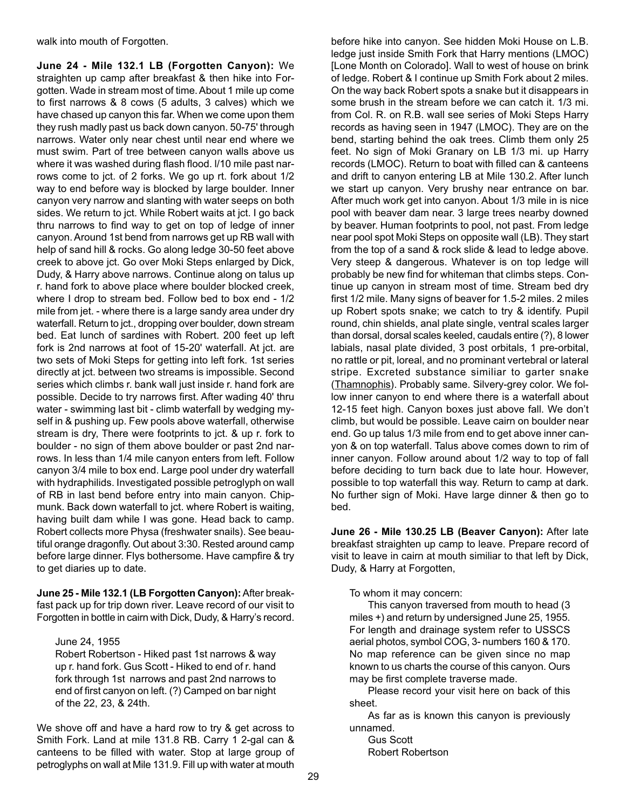walk into mouth of Forgotten.

**June 24 - Mile 132.1 LB (Forgotten Canyon):** We straighten up camp after breakfast & then hike into Forgotten. Wade in stream most of time. About 1 mile up come to first narrows & 8 cows (5 adults, 3 calves) which we have chased up canyon this far. When we come upon them they rush madly past us back down canyon. 50-75' through narrows. Water only near chest until near end where we must swim. Part of tree between canyon walls above us where it was washed during flash flood. l/10 mile past narrows come to jct. of 2 forks. We go up rt. fork about 1/2 way to end before way is blocked by large boulder. Inner canyon very narrow and slanting with water seeps on both sides. We return to jct. While Robert waits at jct. I go back thru narrows to find way to get on top of ledge of inner canyon. Around 1st bend from narrows get up RB wall with help of sand hill & rocks. Go along ledge 30-50 feet above creek to above jct. Go over Moki Steps enlarged by Dick, Dudy, & Harry above narrows. Continue along on talus up r. hand fork to above place where boulder blocked creek, where I drop to stream bed. Follow bed to box end - 1/2 mile from jet. - where there is a large sandy area under dry waterfall. Return to jct., dropping over boulder, down stream bed. Eat lunch of sardines with Robert. 200 feet up left fork is 2nd narrows at foot of 15-20' waterfall. At jct. are two sets of Moki Steps for getting into left fork. 1st series directly at jct. between two streams is impossible. Second series which climbs r. bank wall just inside r. hand fork are possible. Decide to try narrows first. After wading 40' thru water - swimming last bit - climb waterfall by wedging myself in & pushing up. Few pools above waterfall, otherwise stream is dry, There were footprints to jct. & up r. fork to boulder - no sign of them above boulder or past 2nd narrows. In less than 1/4 mile canyon enters from left. Follow canyon 3/4 mile to box end. Large pool under dry waterfall with hydraphilids. Investigated possible petroglyph on wall of RB in last bend before entry into main canyon. Chipmunk. Back down waterfall to jct. where Robert is waiting, having built dam while I was gone. Head back to camp. Robert collects more Physa (freshwater snails). See beautiful orange dragonfly. Out about 3:30. Rested around camp before large dinner. Flys bothersome. Have campfire & try to get diaries up to date.

**June 25 - Mile 132.1 (LB Forgotten Canyon):**After breakfast pack up for trip down river. Leave record of our visit to Forgotten in bottle in cairn with Dick, Dudy, & Harry's record.

#### June 24, 1955

Robert Robertson - Hiked past 1st narrows & way up r. hand fork. Gus Scott - Hiked to end of r. hand fork through 1st narrows and past 2nd narrows to end of first canyon on left. (?) Camped on bar night of the 22, 23, & 24th.

We shove off and have a hard row to try & get across to Smith Fork. Land at mile 131.8 RB. Carry 1 2-gal can & canteens to be filled with water. Stop at large group of petroglyphs on wall at Mile 131.9. Fill up with water at mouth

before hike into canyon. See hidden Moki House on L.B. ledge just inside Smith Fork that Harry mentions (LMOC) [Lone Month on Colorado]. Wall to west of house on brink of ledge. Robert & I continue up Smith Fork about 2 miles. On the way back Robert spots a snake but it disappears in some brush in the stream before we can catch it. 1/3 mi. from Col. R. on R.B. wall see series of Moki Steps Harry records as having seen in 1947 (LMOC). They are on the bend, starting behind the oak trees. Climb them only 25 feet. No sign of Moki Granary on LB 1/3 mi. up Harry records (LMOC). Return to boat with filled can & canteens and drift to canyon entering LB at Mile 130.2. After lunch we start up canyon. Very brushy near entrance on bar. After much work get into canyon. About 1/3 mile in is nice pool with beaver dam near. 3 large trees nearby downed by beaver. Human footprints to pool, not past. From ledge near pool spot Moki Steps on opposite wall (LB). They start from the top of a sand & rock slide & lead to ledge above. Very steep & dangerous. Whatever is on top ledge will probably be new find for whiteman that climbs steps. Continue up canyon in stream most of time. Stream bed dry first 1/2 mile. Many signs of beaver for 1.5-2 miles. 2 miles up Robert spots snake; we catch to try & identify. Pupil round, chin shields, anal plate single, ventral scales larger than dorsal, dorsal scales keeled, caudals entire (?), 8 lower labials, nasal plate divided, 3 post orbitals, 1 pre-orbital, no rattle or pit, loreal, and no prominant vertebral or lateral stripe. Excreted substance similiar to garter snake (Thamnophis). Probably same. Silvery-grey color. We follow inner canyon to end where there is a waterfall about 12-15 feet high. Canyon boxes just above fall. We don't climb, but would be possible. Leave cairn on boulder near end. Go up talus 1/3 mile from end to get above inner canyon & on top waterfall. Talus above comes down to rim of inner canyon. Follow around about 1/2 way to top of fall before deciding to turn back due to late hour. However, possible to top waterfall this way. Return to camp at dark. No further sign of Moki. Have large dinner & then go to bed.

**June 26 - Mile 130.25 LB (Beaver Canyon):** After late breakfast straighten up camp to leave. Prepare record of visit to leave in cairn at mouth similiar to that left by Dick, Dudy, & Harry at Forgotten,

To whom it may concern:

This canyon traversed from mouth to head (3 miles +) and return by undersigned June 25, 1955. For length and drainage system refer to USSCS aerial photos, symbol COG, 3- numbers 160 & 170. No map reference can be given since no map known to us charts the course of this canyon. Ours may be first complete traverse made.

Please record your visit here on back of this sheet.

As far as is known this canyon is previously unnamed.

Gus Scott Robert Robertson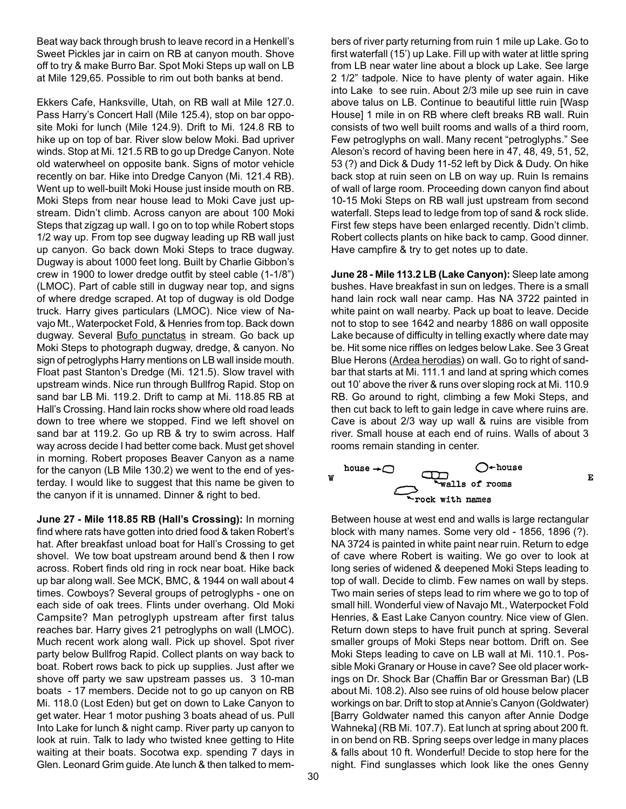Beat way back through brush to leave record in a Henkell's Sweet Pickles jar in cairn on RB at canyon mouth. Shove off to try & make Burro Bar. Spot Moki Steps up wall on LB at Mile 129,65. Possible to rim out both banks at bend.

Ekkers Cafe, Hanksville, Utah, on RB wall at Mile 127.0. Pass Harry's Concert Hall (Mile 125.4), stop on bar opposite Moki for lunch (Mile 124.9). Drift to Mi. 124.8 RB to hike up on top of bar. River slow below Moki. Bad upriver winds. Stop at Mi. 121.5 RB to go up Dredge Canyon. Note old waterwheel on opposite bank. Signs of motor vehicle recently on bar. Hike into Dredge Canyon (Mi. 121.4 RB). Went up to well-built Moki House just inside mouth on RB. Moki Steps from near house lead to Moki Cave just upstream. Didn't climb. Across canyon are about 100 Moki Steps that zigzag up wall. I go on to top while Robert stops 1/2 way up. From top see dugway leading up RB wall just up canyon. Go back down Moki Steps to trace dugway. Dugway is about 1000 feet long. Built by Charlie Gibbon's crew in 1900 to lower dredge outfit by steel cable (1-1/8") (LMOC). Part of cable still in dugway near top, and signs of where dredge scraped. At top of dugway is old Dodge truck. Harry gives particulars (LMOC). Nice view of Navajo Mt., Waterpocket Fold, & Henries from top. Back down dugway. Several Bufo punctatus in stream. Go back up Moki Steps to photograph dugway, dredge, & canyon. No sign of petroglyphs Harry mentions on LB wall inside mouth. Float past Stanton's Dredge (Mi. 121.5). Slow travel with upstream winds. Nice run through Bullfrog Rapid. Stop on sand bar LB Mi. 119.2. Drift to camp at Mi. 118.85 RB at Hall's Crossing. Hand lain rocks show where old road leads down to tree where we stopped. Find we left shovel on sand bar at 119.2. Go up RB & try to swim across. Half way across decide I had better come back. Must get shovel in morning. Robert proposes Beaver Canyon as a name for the canyon (LB Mile 130.2) we went to the end of yesterday. I would like to suggest that this name be given to the canyon if it is unnamed. Dinner & right to bed.

**June 27 - Mile 118.85 RB (Hall's Crossing):** In morning find where rats have gotten into dried food & taken Robert's hat. After breakfast unload boat for Hall's Crossing to get shovel. We tow boat upstream around bend & then I row across. Robert finds old ring in rock near boat. Hike back up bar along wall. See MCK, BMC, & 1944 on wall about 4 times. Cowboys? Several groups of petroglyphs - one on each side of oak trees. Flints under overhang. Old Moki Campsite? Man petroglyph upstream after first talus reaches bar. Harry gives 21 petroglyphs on wall (LMOC). Much recent work along wall. Pick up shovel. Spot river party below Bullfrog Rapid. Collect plants on way back to boat. Robert rows back to pick up supplies. Just after we shove off party we saw upstream passes us. 3 10-man boats - 17 members. Decide not to go up canyon on RB Mi. 118.0 (Lost Eden) but get on down to Lake Canyon to get water. Hear 1 motor pushing 3 boats ahead of us. Pull Into Lake for lunch & night camp. River party up canyon to look at ruin. Talk to lady who twisted knee getting to Hite waiting at their boats. Socotwa exp. spending 7 days in Glen. Leonard Grim guide. Ate lunch & then talked to mem-

bers of river party returning from ruin 1 mile up Lake. Go to first waterfall (15') up Lake. Fill up with water at little spring from LB near water line about a block up Lake. See large 2 1/2" tadpole. Nice to have plenty of water again. Hike into Lake to see ruin. About 2/3 mile up see ruin in cave above talus on LB. Continue to beautiful little ruin [Wasp House] 1 mile in on RB where cleft breaks RB wall. Ruin consists of two well built rooms and walls of a third room, Few petroglyphs on wall. Many recent "petroglyphs." See Aleson's record of having been here in 47, 48, 49, 51, 52, 53 (?) and Dick & Dudy 11-52 left by Dick & Dudy. On hike back stop at ruin seen on LB on way up. Ruin Is remains of wall of large room. Proceeding down canyon find about 10-15 Moki Steps on RB wall just upstream from second waterfall. Steps lead to ledge from top of sand & rock slide. First few steps have been enlarged recently. Didn't climb. Robert collects plants on hike back to camp. Good dinner. Have campfire & try to get notes up to date.

**June 28 - Mile 113.2 LB (Lake Canyon):** Sleep late among bushes. Have breakfast in sun on ledges. There is a small hand lain rock wall near camp. Has NA 3722 painted in white paint on wall nearby. Pack up boat to leave. Decide not to stop to see 1642 and nearby 1886 on wall opposite Lake because of difficulty in telling exactly where date may be. Hit some nice riffles on ledges below Lake. See 3 Great Blue Herons (Ardea herodias) on wall. Go to right of sandbar that starts at Mi. 111.1 and land at spring which comes out 10' above the river & runs over sloping rock at Mi. 110.9 RB. Go around to right, climbing a few Moki Steps, and then cut back to left to gain ledge in cave where ruins are. Cave is about 2/3 way up wall & ruins are visible from river. Small house at each end of ruins. Walls of about 3 rooms remain standing in center.

 $\bf E$ 

 $O^*$  house<br>walls of rooms house  $\rightarrow \bigcirc$ rock with names

Between house at west end and walls is large rectangular block with many names. Some very old - 1856, 1896 (?). NA 3724 is painted in white paint near ruin. Return to edge of cave where Robert is waiting. We go over to look at long series of widened & deepened Moki Steps leading to top of wall. Decide to climb. Few names on wall by steps. Two main series of steps lead to rim where we go to top of small hill. Wonderful view of Navajo Mt., Waterpocket Fold Henries, & East Lake Canyon country. Nice view of Glen. Return down steps to have fruit punch at spring. Several smaller groups of Moki Steps near bottom. Drift on. See Moki Steps leading to cave on LB wall at Mi. 110.1. Possible Moki Granary or House in cave? See old placer workings on Dr. Shock Bar (Chaffin Bar or Gressman Bar) (LB about Mi. 108.2). Also see ruins of old house below placer workings on bar. Drift to stop at Annie's Canyon (Goldwater) [Barry Goldwater named this canyon after Annie Dodge Wahneka] (RB Mi. 107.7). Eat lunch at spring about 200 ft. in on bend on RB. Spring seeps over ledge in many places & falls about 10 ft. Wonderful! Decide to stop here for the night. Find sunglasses which look like the ones Genny

W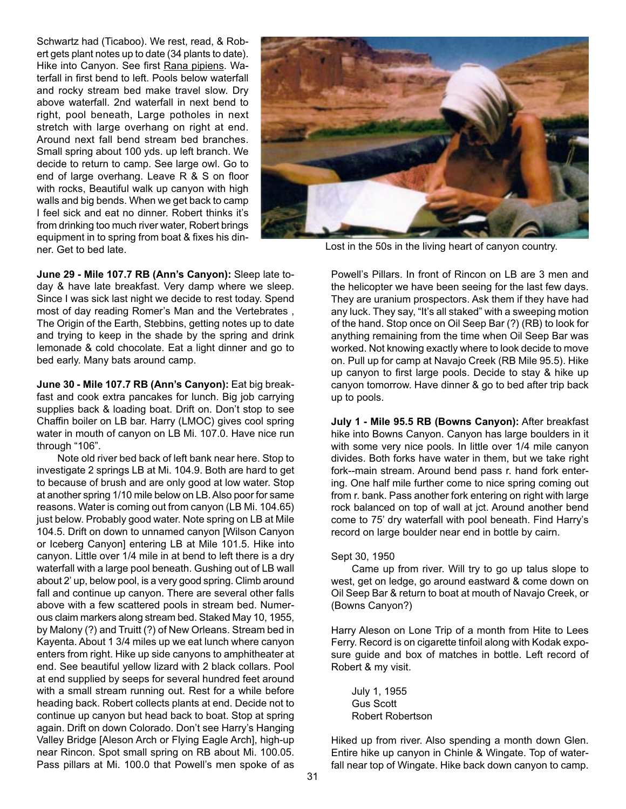Schwartz had (Ticaboo). We rest, read, & Robert gets plant notes up to date (34 plants to date). Hike into Canyon. See first Rana pipiens. Waterfall in first bend to left. Pools below waterfall and rocky stream bed make travel slow. Dry above waterfall. 2nd waterfall in next bend to right, pool beneath, Large potholes in next stretch with large overhang on right at end. Around next fall bend stream bed branches. Small spring about 100 yds. up left branch. We decide to return to camp. See large owl. Go to end of large overhang. Leave R & S on floor with rocks, Beautiful walk up canyon with high walls and big bends. When we get back to camp I feel sick and eat no dinner. Robert thinks it's from drinking too much river water, Robert brings equipment in to spring from boat & fixes his dinner. Get to bed late.



Lost in the 50s in the living heart of canyon country.

**June 29 - Mile 107.7 RB (Ann's Canyon):** Sleep late today & have late breakfast. Very damp where we sleep. Since I was sick last night we decide to rest today. Spend most of day reading Romer's Man and the Vertebrates , The Origin of the Earth, Stebbins, getting notes up to date and trying to keep in the shade by the spring and drink lemonade & cold chocolate. Eat a light dinner and go to bed early. Many bats around camp.

**June 30 - Mile 107.7 RB (Ann's Canyon):** Eat big breakfast and cook extra pancakes for lunch. Big job carrying supplies back & loading boat. Drift on. Don't stop to see Chaffin boiler on LB bar. Harry (LMOC) gives cool spring water in mouth of canyon on LB Mi. 107.0. Have nice run through "106".

Note old river bed back of left bank near here. Stop to investigate 2 springs LB at Mi. 104.9. Both are hard to get to because of brush and are only good at low water. Stop at another spring 1/10 mile below on LB. Also poor for same reasons. Water is coming out from canyon (LB Mi. 104.65) just below. Probably good water. Note spring on LB at Mile 104.5. Drift on down to unnamed canyon [Wilson Canyon or Iceberg Canyon] entering LB at Mile 101.5. Hike into canyon. Little over 1/4 mile in at bend to left there is a dry waterfall with a large pool beneath. Gushing out of LB wall about 2' up, below pool, is a very good spring. Climb around fall and continue up canyon. There are several other falls above with a few scattered pools in stream bed. Numerous claim markers along stream bed. Staked May 10, 1955, by Malony (?) and Truitt (?) of New Orleans. Stream bed in Kayenta. About 1 3/4 miles up we eat lunch where canyon enters from right. Hike up side canyons to amphitheater at end. See beautiful yellow lizard with 2 black collars. Pool at end supplied by seeps for several hundred feet around with a small stream running out. Rest for a while before heading back. Robert collects plants at end. Decide not to continue up canyon but head back to boat. Stop at spring again. Drift on down Colorado. Don't see Harry's Hanging Valley Bridge [Aleson Arch or Flying Eagle Arch], high-up near Rincon. Spot small spring on RB about Mi. 100.05. Pass pillars at Mi. 100.0 that Powell's men spoke of as Powell's Pillars. In front of Rincon on LB are 3 men and the helicopter we have been seeing for the last few days. They are uranium prospectors. Ask them if they have had any luck. They say, "It's all staked" with a sweeping motion of the hand. Stop once on Oil Seep Bar (?) (RB) to look for anything remaining from the time when Oil Seep Bar was worked. Not knowing exactly where to look decide to move on. Pull up for camp at Navajo Creek (RB Mile 95.5). Hike up canyon to first large pools. Decide to stay & hike up canyon tomorrow. Have dinner & go to bed after trip back up to pools.

**July 1 - Mile 95.5 RB (Bowns Canyon):** After breakfast hike into Bowns Canyon. Canyon has large boulders in it with some very nice pools. In little over 1/4 mile canyon divides. Both forks have water in them, but we take right fork--main stream. Around bend pass r. hand fork entering. One half mile further come to nice spring coming out from r. bank. Pass another fork entering on right with large rock balanced on top of wall at jct. Around another bend come to 75' dry waterfall with pool beneath. Find Harry's record on large boulder near end in bottle by cairn.

### Sept 30, 1950

Came up from river. Will try to go up talus slope to west, get on ledge, go around eastward & come down on Oil Seep Bar & return to boat at mouth of Navajo Creek, or (Bowns Canyon?)

Harry Aleson on Lone Trip of a month from Hite to Lees Ferry. Record is on cigarette tinfoil along with Kodak exposure guide and box of matches in bottle. Left record of Robert & my visit.

July 1, 1955 Gus Scott Robert Robertson

Hiked up from river. Also spending a month down Glen. Entire hike up canyon in Chinle & Wingate. Top of waterfall near top of Wingate. Hike back down canyon to camp.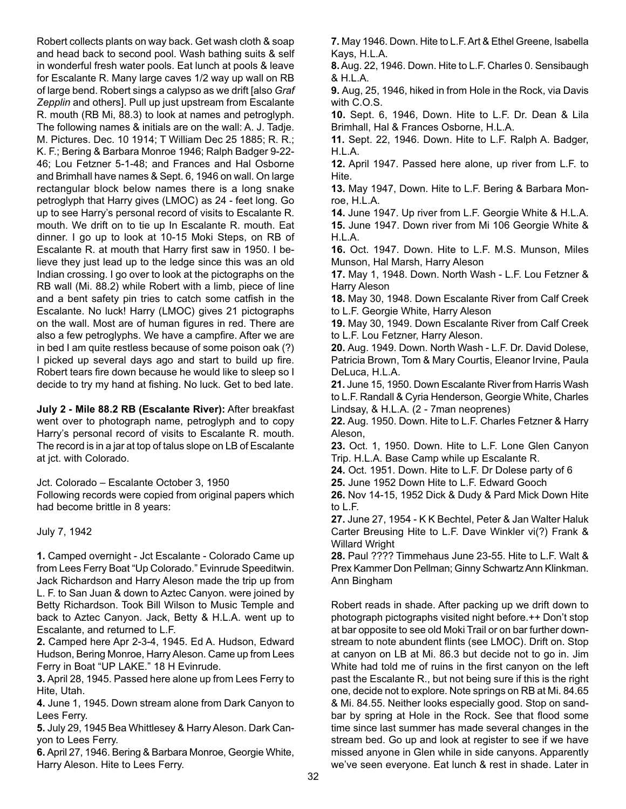Robert collects plants on way back. Get wash cloth & soap and head back to second pool. Wash bathing suits & self in wonderful fresh water pools. Eat lunch at pools & leave for Escalante R. Many large caves 1/2 way up wall on RB of large bend. Robert sings a calypso as we drift [also *Graf Zepplin* and others]. Pull up just upstream from Escalante R. mouth (RB Mi, 88.3) to look at names and petroglyph. The following names & initials are on the wall: A. J. Tadje. M. Pictures. Dec. 10 1914; T William Dec 25 1885; R. R.; K. F.; Bering & Barbara Monroe 1946; Ralph Badger 9-22- 46; Lou Fetzner 5-1-48; and Frances and Hal Osborne and Brimhall have names & Sept. 6, 1946 on wall. On large rectangular block below names there is a long snake petroglyph that Harry gives (LMOC) as 24 - feet long. Go up to see Harry's personal record of visits to Escalante R. mouth. We drift on to tie up In Escalante R. mouth. Eat dinner. I go up to look at 10-15 Moki Steps, on RB of Escalante R. at mouth that Harry first saw in 1950. I believe they just lead up to the ledge since this was an old Indian crossing. I go over to look at the pictographs on the RB wall (Mi. 88.2) while Robert with a limb, piece of line and a bent safety pin tries to catch some catfish in the Escalante. No luck! Harry (LMOC) gives 21 pictographs on the wall. Most are of human figures in red. There are also a few petroglyphs. We have a campfire. After we are in bed I am quite restless because of some poison oak (?) I picked up several days ago and start to build up fire. Robert tears fire down because he would like to sleep so I decide to try my hand at fishing. No luck. Get to bed late.

**July 2 - Mile 88.2 RB (Escalante River):** After breakfast went over to photograph name, petroglyph and to copy Harry's personal record of visits to Escalante R. mouth. The record is in a jar at top of talus slope on LB of Escalante at jct. with Colorado.

Jct. Colorado – Escalante October 3, 1950

Following records were copied from original papers which had become brittle in 8 years:

July 7, 1942

**1.** Camped overnight - Jct Escalante - Colorado Came up from Lees Ferry Boat "Up Colorado." Evinrude Speeditwin. Jack Richardson and Harry Aleson made the trip up from L. F. to San Juan & down to Aztec Canyon. were joined by Betty Richardson. Took Bill Wilson to Music Temple and back to Aztec Canyon. Jack, Betty & H.L.A. went up to Escalante, and returned to L.F.

**2.** Camped here Apr 2-3-4, 1945. Ed A. Hudson, Edward Hudson, Bering Monroe, Harry Aleson. Came up from Lees Ferry in Boat "UP LAKE." 18 H Evinrude.

**3.** April 28, 1945. Passed here alone up from Lees Ferry to Hite, Utah.

**4.** June 1, 1945. Down stream alone from Dark Canyon to Lees Ferry.

**5.** July 29, 1945 Bea Whittlesey & Harry Aleson. Dark Canyon to Lees Ferry.

**6.** April 27, 1946. Bering & Barbara Monroe, Georgie White, Harry Aleson. Hite to Lees Ferry.

**7.** May 1946. Down. Hite to L.F. Art & Ethel Greene, Isabella Kays, H.L.A.

**8.**Aug. 22, 1946. Down. Hite to L.F. Charles 0. Sensibaugh & H.L.A.

**9.** Aug, 25, 1946, hiked in from Hole in the Rock, via Davis with C.O.S.

**10.** Sept. 6, 1946, Down. Hite to L.F. Dr. Dean & Lila Brimhall, Hal & Frances Osborne, H.L.A.

**11.** Sept. 22, 1946. Down. Hite to L.F. Ralph A. Badger, H.L.A.

**12.** April 1947. Passed here alone, up river from L.F. to Hite.

**13.** May 1947, Down. Hite to L.F. Bering & Barbara Monroe, H.L.A.

**14.** June 1947. Up river from L.F. Georgie White & H.L.A. **15.** June 1947. Down river from Mi 106 Georgie White & H.L.A.

**16.** Oct. 1947. Down. Hite to L.F. M.S. Munson, Miles Munson, Hal Marsh, Harry Aleson

**17.** May 1, 1948. Down. North Wash - L.F. Lou Fetzner & Harry Aleson

**18.** May 30, 1948. Down Escalante River from Calf Creek to L.F. Georgie White, Harry Aleson

**19.** May 30, 1949. Down Escalante River from Calf Creek to L.F. Lou Fetzner, Harry Aleson.

**20.** Aug. 1949. Down. North Wash - L.F. Dr. David Dolese, Patricia Brown, Tom & Mary Courtis, Eleanor Irvine, Paula DeLuca, H.L.A.

**21.** June 15, 1950. Down Escalante River from Harris Wash to L.F. Randall & Cyria Henderson, Georgie White, Charles Lindsay, & H.L.A. (2 - 7man neoprenes)

**22.** Aug. 1950. Down. Hite to L.F. Charles Fetzner & Harry Aleson,

**23.** Oct. 1, 1950. Down. Hite to L.F. Lone Glen Canyon Trip. H.L.A. Base Camp while up Escalante R.

**24.** Oct. 1951. Down. Hite to L.F. Dr Dolese party of 6

**25.** June 1952 Down Hite to L.F. Edward Gooch

**26.** Nov 14-15, 1952 Dick & Dudy & Pard Mick Down Hite to L.F.

**27.** June 27, 1954 - K K Bechtel, Peter & Jan Walter Haluk Carter Breusing Hite to L.F. Dave Winkler vi(?) Frank & Willard Wright

**28.** Paul ???? Timmehaus June 23-55. Hite to L.F. Walt & Prex Kammer Don Pellman; Ginny Schwartz Ann Klinkman. Ann Bingham

Robert reads in shade. After packing up we drift down to photograph pictographs visited night before.++ Don't stop at bar opposite to see old Moki Trail or on bar further downstream to note abundent flints (see LMOC). Drift on. Stop at canyon on LB at Mi. 86.3 but decide not to go in. Jim White had told me of ruins in the first canyon on the left past the Escalante R., but not being sure if this is the right one, decide not to explore. Note springs on RB at Mi. 84.65 & Mi. 84.55. Neither looks especially good. Stop on sandbar by spring at Hole in the Rock. See that flood some time since last summer has made several changes in the stream bed. Go up and look at register to see if we have missed anyone in Glen while in side canyons. Apparently we've seen everyone. Eat lunch & rest in shade. Later in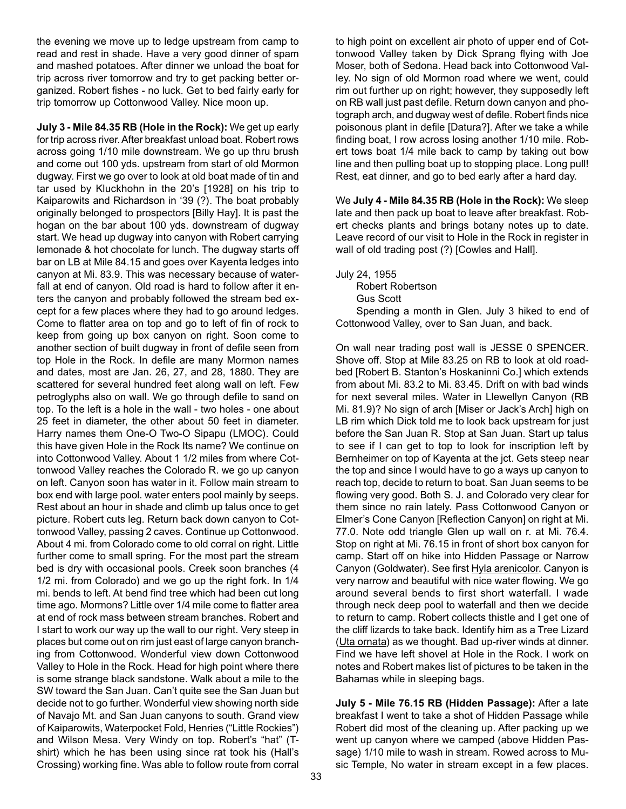the evening we move up to ledge upstream from camp to read and rest in shade. Have a very good dinner of spam and mashed potatoes. After dinner we unload the boat for trip across river tomorrow and try to get packing better organized. Robert fishes - no luck. Get to bed fairly early for trip tomorrow up Cottonwood Valley. Nice moon up.

**July 3 - Mile 84.35 RB (Hole in the Rock):** We get up early for trip across river. After breakfast unload boat. Robert rows across going 1/10 mile downstream. We go up thru brush and come out 100 yds. upstream from start of old Mormon dugway. First we go over to look at old boat made of tin and tar used by Kluckhohn in the 20's [1928] on his trip to Kaiparowits and Richardson in '39 (?). The boat probably originally belonged to prospectors [Billy Hay]. It is past the hogan on the bar about 100 yds. downstream of dugway start. We head up dugway into canyon with Robert carrying lemonade & hot chocolate for lunch. The dugway starts off bar on LB at Mile 84.15 and goes over Kayenta ledges into canyon at Mi. 83.9. This was necessary because of waterfall at end of canyon. Old road is hard to follow after it enters the canyon and probably followed the stream bed except for a few places where they had to go around ledges. Come to flatter area on top and go to left of fin of rock to keep from going up box canyon on right. Soon come to another section of built dugway in front of defile seen from top Hole in the Rock. In defile are many Mormon names and dates, most are Jan. 26, 27, and 28, 1880. They are scattered for several hundred feet along wall on left. Few petroglyphs also on wall. We go through defile to sand on top. To the left is a hole in the wall - two holes - one about 25 feet in diameter, the other about 50 feet in diameter. Harry names them One-O Two-O Sipapu (LMOC). Could this have given Hole in the Rock Its name? We continue on into Cottonwood Valley. About 1 1/2 miles from where Cottonwood Valley reaches the Colorado R. we go up canyon on left. Canyon soon has water in it. Follow main stream to box end with large pool. water enters pool mainly by seeps. Rest about an hour in shade and climb up talus once to get picture. Robert cuts leg. Return back down canyon to Cottonwood Valley, passing 2 caves. Continue up Cottonwood. About 4 mi. from Colorado come to old corral on right. Little further come to small spring. For the most part the stream bed is dry with occasional pools. Creek soon branches (4 1/2 mi. from Colorado) and we go up the right fork. In 1/4 mi. bends to left. At bend find tree which had been cut long time ago. Mormons? Little over 1/4 mile come to flatter area at end of rock mass between stream branches. Robert and I start to work our way up the wall to our right. Very steep in places but come out on rim just east of large canyon branching from Cottonwood. Wonderful view down Cottonwood Valley to Hole in the Rock. Head for high point where there is some strange black sandstone. Walk about a mile to the SW toward the San Juan. Can't quite see the San Juan but decide not to go further. Wonderful view showing north side of Navajo Mt. and San Juan canyons to south. Grand view of Kaiparowits, Waterpocket Fold, Henries ("Little Rockies") and Wilson Mesa. Very Windy on top. Robert's "hat" (Tshirt) which he has been using since rat took his (Hall's Crossing) working fine. Was able to follow route from corral to high point on excellent air photo of upper end of Cottonwood Valley taken by Dick Sprang flying with Joe Moser, both of Sedona. Head back into Cottonwood Valley. No sign of old Mormon road where we went, could rim out further up on right; however, they supposedly left on RB wall just past defile. Return down canyon and photograph arch, and dugway west of defile. Robert finds nice poisonous plant in defile [Datura?]. After we take a while finding boat, I row across losing another 1/10 mile. Robert tows boat 1/4 mile back to camp by taking out bow line and then pulling boat up to stopping place. Long pull! Rest, eat dinner, and go to bed early after a hard day.

We **July 4 - Mile 84.35 RB (Hole in the Rock):** We sleep late and then pack up boat to leave after breakfast. Robert checks plants and brings botany notes up to date. Leave record of our visit to Hole in the Rock in register in wall of old trading post (?) [Cowles and Hall].

July 24, 1955

Robert Robertson Gus Scott

Spending a month in Glen. July 3 hiked to end of Cottonwood Valley, over to San Juan, and back.

On wall near trading post wall is JESSE 0 SPENCER. Shove off. Stop at Mile 83.25 on RB to look at old roadbed [Robert B. Stanton's Hoskaninni Co.] which extends from about Mi. 83.2 to Mi. 83.45. Drift on with bad winds for next several miles. Water in Llewellyn Canyon (RB Mi. 81.9)? No sign of arch [Miser or Jack's Arch] high on LB rim which Dick told me to look back upstream for just before the San Juan R. Stop at San Juan. Start up talus to see if I can get to top to look for inscription left by Bernheimer on top of Kayenta at the jct. Gets steep near the top and since I would have to go a ways up canyon to reach top, decide to return to boat. San Juan seems to be flowing very good. Both S. J. and Colorado very clear for them since no rain lately. Pass Cottonwood Canyon or Elmer's Cone Canyon [Reflection Canyon] on right at Mi. 77.0. Note odd triangle Glen up wall on r. at Mi. 76.4. Stop on right at Mi. 76.15 in front of short box canyon for camp. Start off on hike into Hidden Passage or Narrow Canyon (Goldwater). See first Hyla arenicolor. Canyon is very narrow and beautiful with nice water flowing. We go around several bends to first short waterfall. I wade through neck deep pool to waterfall and then we decide to return to camp. Robert collects thistle and I get one of the cliff lizards to take back. Identify him as a Tree Lizard (Uta ornata) as we thought. Bad up-river winds at dinner. Find we have left shovel at Hole in the Rock. I work on notes and Robert makes list of pictures to be taken in the Bahamas while in sleeping bags.

**July 5 - Mile 76.15 RB (Hidden Passage):** After a late breakfast I went to take a shot of Hidden Passage while Robert did most of the cleaning up. After packing up we went up canyon where we camped (above Hidden Passage) 1/10 mile to wash in stream. Rowed across to Music Temple, No water in stream except in a few places.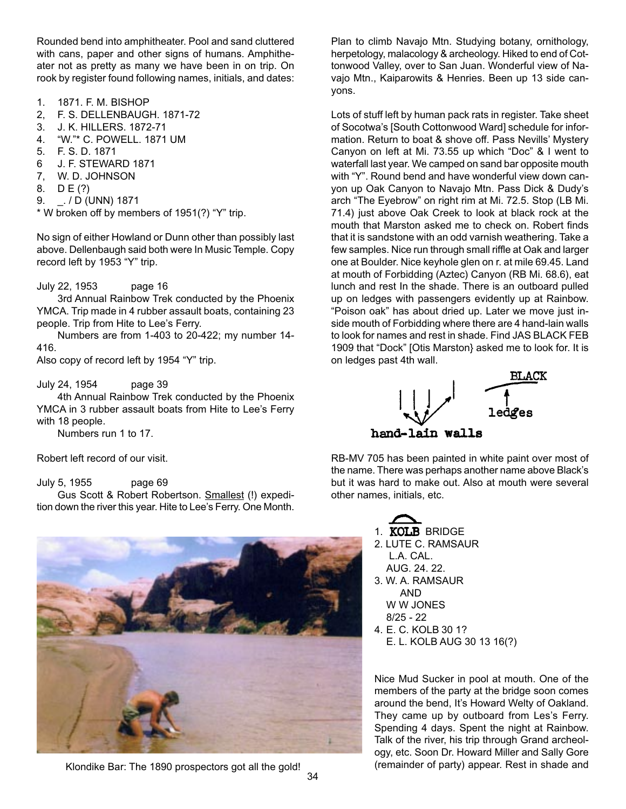Rounded bend into amphitheater. Pool and sand cluttered with cans, paper and other signs of humans. Amphitheater not as pretty as many we have been in on trip. On rook by register found following names, initials, and dates:

- 1. 1871. F. M. BISHOP
- 2, F. S. DELLENBAUGH. 1871-72
- 3. J. K. HILLERS. 1872-71
- 4. "W."\* C. POWELL. 1871 UM
- 5. F. S. D. 1871
- 6 J. F. STEWARD 1871
- 7, W. D. JOHNSON
- 8. D E (?)
- 9. \_. / D (UNN) 1871

\* W broken off by members of 1951(?) "Y" trip.

No sign of either Howland or Dunn other than possibly last above. Dellenbaugh said both were In Music Temple. Copy record left by 1953 "Y" trip.

#### July 22, 1953 page 16

3rd Annual Rainbow Trek conducted by the Phoenix YMCA. Trip made in 4 rubber assault boats, containing 23 people. Trip from Hite to Lee's Ferry.

Numbers are from 1-403 to 20-422; my number 14- 416.

Also copy of record left by 1954 "Y" trip.

July 24, 1954 page 39

4th Annual Rainbow Trek conducted by the Phoenix YMCA in 3 rubber assault boats from Hite to Lee's Ferry with 18 people.

Numbers run 1 to 17.

Robert left record of our visit.

July 5, 1955 page 69

Gus Scott & Robert Robertson. Smallest (!) expedition down the river this year. Hite to Lee's Ferry. One Month.



Klondike Bar: The 1890 prospectors got all the gold! (remainder of party) appear. Rest in shade and

Plan to climb Navajo Mtn. Studying botany, ornithology, herpetology, malacology & archeology. Hiked to end of Cottonwood Valley, over to San Juan. Wonderful view of Navajo Mtn., Kaiparowits & Henries. Been up 13 side canyons.

Lots of stuff left by human pack rats in register. Take sheet of Socotwa's [South Cottonwood Ward] schedule for information. Return to boat & shove off. Pass Nevills' Mystery Canyon on left at Mi. 73.55 up which "Doc" & I went to waterfall last year. We camped on sand bar opposite mouth with "Y". Round bend and have wonderful view down canyon up Oak Canyon to Navajo Mtn. Pass Dick & Dudy's arch "The Eyebrow" on right rim at Mi. 72.5. Stop (LB Mi. 71.4) just above Oak Creek to look at black rock at the mouth that Marston asked me to check on. Robert finds that it is sandstone with an odd varnish weathering. Take a few samples. Nice run through small riffle at Oak and larger one at Boulder. Nice keyhole glen on r. at mile 69.45. Land at mouth of Forbidding (Aztec) Canyon (RB Mi. 68.6), eat lunch and rest In the shade. There is an outboard pulled up on ledges with passengers evidently up at Rainbow. "Poison oak" has about dried up. Later we move just inside mouth of Forbidding where there are 4 hand-lain walls to look for names and rest in shade. Find JAS BLACK FEB 1909 that "Dock" [Otis Marston} asked me to look for. It is on ledges past 4th wall.



RB-MV 705 has been painted in white paint over most of the name. There was perhaps another name above Black's but it was hard to make out. Also at mouth were several other names, initials, etc.



- 2. LUTE C. RAMSAUR
- L.A. CAL. AUG. 24. 22.
- 3. W. A. RAMSAUR AND W W JONES
	- 8/25 22
- 4. E. C. KOLB 30 1? E. L. KOLB AUG 30 13 16(?)

Nice Mud Sucker in pool at mouth. One of the members of the party at the bridge soon comes around the bend, It's Howard Welty of Oakland. They came up by outboard from Les's Ferry. Spending 4 days. Spent the night at Rainbow. Talk of the river, his trip through Grand archeology, etc. Soon Dr. Howard Miller and Sally Gore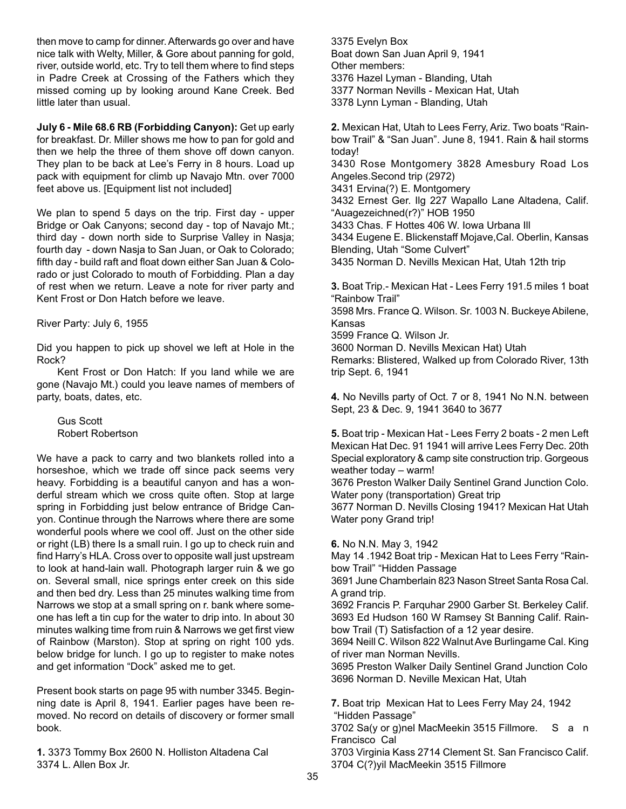then move to camp for dinner. Afterwards go over and have nice talk with Welty, Miller, & Gore about panning for gold, river, outside world, etc. Try to tell them where to find steps in Padre Creek at Crossing of the Fathers which they missed coming up by looking around Kane Creek. Bed little later than usual.

**July 6 - Mile 68.6 RB (Forbidding Canyon):** Get up early for breakfast. Dr. Miller shows me how to pan for gold and then we help the three of them shove off down canyon. They plan to be back at Lee's Ferry in 8 hours. Load up pack with equipment for climb up Navajo Mtn. over 7000 feet above us. [Equipment list not included]

We plan to spend 5 days on the trip. First day - upper Bridge or Oak Canyons; second day - top of Navajo Mt.; third day - down north side to Surprise Valley in Nasja; fourth day - down Nasja to San Juan, or Oak to Colorado; fifth day - build raft and float down either San Juan & Colorado or just Colorado to mouth of Forbidding. Plan a day of rest when we return. Leave a note for river party and Kent Frost or Don Hatch before we leave.

River Party: July 6, 1955

Did you happen to pick up shovel we left at Hole in the Rock?

Kent Frost or Don Hatch: If you land while we are gone (Navajo Mt.) could you leave names of members of party, boats, dates, etc.

Gus Scott Robert Robertson

We have a pack to carry and two blankets rolled into a horseshoe, which we trade off since pack seems very heavy. Forbidding is a beautiful canyon and has a wonderful stream which we cross quite often. Stop at large spring in Forbidding just below entrance of Bridge Canyon. Continue through the Narrows where there are some wonderful pools where we cool off. Just on the other side or right (LB) there Is a small ruin. I go up to check ruin and find Harry's HLA. Cross over to opposite wall just upstream to look at hand-lain wall. Photograph larger ruin & we go on. Several small, nice springs enter creek on this side and then bed dry. Less than 25 minutes walking time from Narrows we stop at a small spring on r. bank where someone has left a tin cup for the water to drip into. In about 30 minutes walking time from ruin & Narrows we get first view of Rainbow (Marston). Stop at spring on right 100 yds. below bridge for lunch. I go up to register to make notes and get information "Dock" asked me to get.

Present book starts on page 95 with number 3345. Beginning date is April 8, 1941. Earlier pages have been removed. No record on details of discovery or former small book.

**1.** 3373 Tommy Box 2600 N. Holliston Altadena Cal 3374 L. Allen Box Jr.

3375 Evelyn Box Boat down San Juan April 9, 1941 Other members: 3376 Hazel Lyman - Blanding, Utah 3377 Norman Nevills - Mexican Hat, Utah 3378 Lynn Lyman - Blanding, Utah

**2.** Mexican Hat, Utah to Lees Ferry, Ariz. Two boats "Rainbow Trail" & "San Juan". June 8, 1941. Rain & hail storms today! 3430 Rose Montgomery 3828 Amesbury Road Los Angeles.Second trip (2972) 3431 Ervina(?) E. Montgomery 3432 Ernest Ger. Ilg 227 Wapallo Lane Altadena, Calif. "Auagezeichned(r?)" HOB 1950 3433 Chas. F Hottes 406 W. Iowa Urbana Ill 3434 Eugene E. Blickenstaff Mojave,Cal. Oberlin, Kansas Blending, Utah "Some Culvert" 3435 Norman D. Nevills Mexican Hat, Utah 12th trip **3.** Boat Trip.- Mexican Hat - Lees Ferry 191.5 miles 1 boat "Rainbow Trail"

3598 Mrs. France Q. Wilson. Sr. 1003 N. Buckeye Abilene, Kansas 3599 France Q. Wilson Jr.

3600 Norman D. Nevills Mexican Hat) Utah Remarks: Blistered, Walked up from Colorado River, 13th trip Sept. 6, 1941

**4.** No Nevills party of Oct. 7 or 8, 1941 No N.N. between Sept, 23 & Dec. 9, 1941 3640 to 3677

**5.** Boat trip - Mexican Hat - Lees Ferry 2 boats - 2 men Left Mexican Hat Dec. 91 1941 will arrive Lees Ferry Dec. 20th Special exploratory & camp site construction trip. Gorgeous weather today – warm!

3676 Preston Walker Daily Sentinel Grand Junction Colo. Water pony (transportation) Great trip

3677 Norman D. Nevills Closing 1941? Mexican Hat Utah Water pony Grand trip!

**6.** No N.N. May 3, 1942

May 14 .1942 Boat trip - Mexican Hat to Lees Ferry "Rainbow Trail" "Hidden Passage

3691 June Chamberlain 823 Nason Street Santa Rosa Cal. A grand trip.

3692 Francis P. Farquhar 2900 Garber St. Berkeley Calif. 3693 Ed Hudson 160 W Ramsey St Banning Calif. Rainbow Trail (T) Satisfaction of a 12 year desire.

3694 Neill C. Wilson 822 Walnut Ave Burlingame Cal. King of river man Norman Nevills.

3695 Preston Walker Daily Sentinel Grand Junction Colo 3696 Norman D. Neville Mexican Hat, Utah

**7.** Boat trip Mexican Hat to Lees Ferry May 24, 1942 "Hidden Passage"

3702 Sa(y or g)nel MacMeekin 3515 Fillmore. S a n Francisco Cal

3703 Virginia Kass 2714 Clement St. San Francisco Calif. 3704 C(?)yil MacMeekin 3515 Fillmore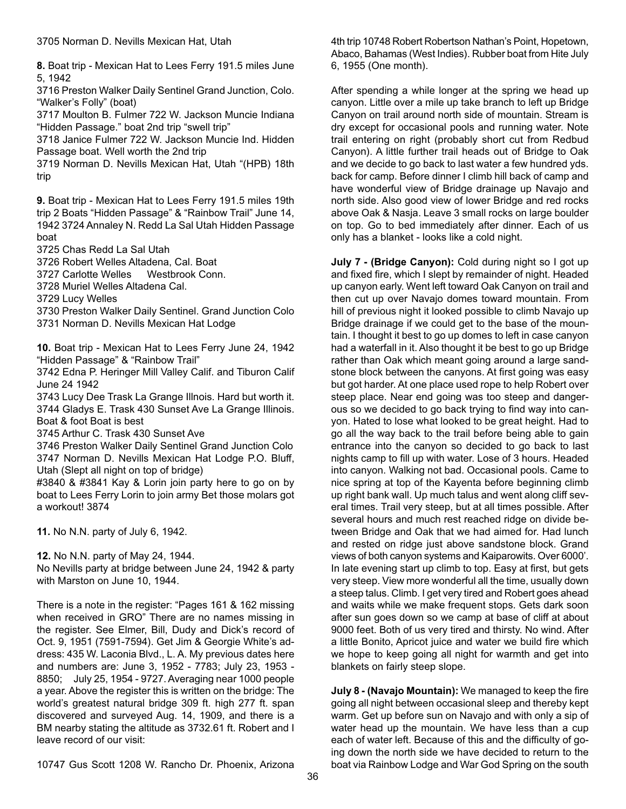**8.** Boat trip - Mexican Hat to Lees Ferry 191.5 miles June 5, 1942

3716 Preston Walker Daily Sentinel Grand Junction, Colo. "Walker's Folly" (boat)

3717 Moulton B. Fulmer 722 W. Jackson Muncie Indiana "Hidden Passage." boat 2nd trip "swell trip"

3718 Janice Fulmer 722 W. Jackson Muncie Ind. Hidden Passage boat. Well worth the 2nd trip

3719 Norman D. Nevills Mexican Hat, Utah "(HPB) 18th trip

**9.** Boat trip - Mexican Hat to Lees Ferry 191.5 miles 19th trip 2 Boats "Hidden Passage" & "Rainbow Trail" June 14, 1942 3724 Annaley N. Redd La Sal Utah Hidden Passage boat

3725 Chas Redd La Sal Utah

3726 Robert Welles Altadena, Cal. Boat

3727 Carlotte Welles Westbrook Conn.

3728 Muriel Welles Altadena Cal.

3729 Lucy Welles

3730 Preston Walker Daily Sentinel. Grand Junction Colo 3731 Norman D. Nevills Mexican Hat Lodge

**10.** Boat trip - Mexican Hat to Lees Ferry June 24, 1942 "Hidden Passage" & "Rainbow Trail"

3742 Edna P. Heringer Mill Valley Calif. and Tiburon Calif June 24 1942

3743 Lucy Dee Trask La Grange Illnois. Hard but worth it. 3744 Gladys E. Trask 430 Sunset Ave La Grange Illinois. Boat & foot Boat is best

3745 Arthur C. Trask 430 Sunset Ave

3746 Preston Walker Daily Sentinel Grand Junction Colo 3747 Norman D. Nevills Mexican Hat Lodge P.O. Bluff, Utah (Slept all night on top of bridge)

#3840 & #3841 Kay & Lorin join party here to go on by boat to Lees Ferry Lorin to join army Bet those molars got a workout! 3874

**11.** No N.N. party of July 6, 1942.

**12.** No N.N. party of May 24, 1944.

No Nevills party at bridge between June 24, 1942 & party with Marston on June 10, 1944.

There is a note in the register: "Pages 161 & 162 missing when received in GRO" There are no names missing in the register. See Elmer, Bill, Dudy and Dick's record of Oct. 9, 1951 (7591-7594). Get Jim & Georgie White's address: 435 W. Laconia Blvd., L. A. My previous dates here and numbers are: June 3, 1952 - 7783; July 23, 1953 - 8850; July 25, 1954 - 9727. Averaging near 1000 people a year. Above the register this is written on the bridge: The world's greatest natural bridge 309 ft. high 277 ft. span discovered and surveyed Aug. 14, 1909, and there is a BM nearby stating the altitude as 3732.61 ft. Robert and I leave record of our visit:

4th trip 10748 Robert Robertson Nathan's Point, Hopetown, Abaco, Bahamas (West Indies). Rubber boat from Hite July 6, 1955 (One month).

After spending a while longer at the spring we head up canyon. Little over a mile up take branch to left up Bridge Canyon on trail around north side of mountain. Stream is dry except for occasional pools and running water. Note trail entering on right (probably short cut from Redbud Canyon). A little further trail heads out of Bridge to Oak and we decide to go back to last water a few hundred yds. back for camp. Before dinner I climb hill back of camp and have wonderful view of Bridge drainage up Navajo and north side. Also good view of lower Bridge and red rocks above Oak & Nasja. Leave 3 small rocks on large boulder on top. Go to bed immediately after dinner. Each of us only has a blanket - looks like a cold night.

**July 7 - (Bridge Canyon):** Cold during night so I got up and fixed fire, which I slept by remainder of night. Headed up canyon early. Went left toward Oak Canyon on trail and then cut up over Navajo domes toward mountain. From hill of previous night it looked possible to climb Navajo up Bridge drainage if we could get to the base of the mountain. I thought it best to go up domes to left in case canyon had a waterfall in it. Also thought it be best to go up Bridge rather than Oak which meant going around a large sandstone block between the canyons. At first going was easy but got harder. At one place used rope to help Robert over steep place. Near end going was too steep and dangerous so we decided to go back trying to find way into canyon. Hated to lose what looked to be great height. Had to go all the way back to the trail before being able to gain entrance into the canyon so decided to go back to last nights camp to fill up with water. Lose of 3 hours. Headed into canyon. Walking not bad. Occasional pools. Came to nice spring at top of the Kayenta before beginning climb up right bank wall. Up much talus and went along cliff several times. Trail very steep, but at all times possible. After several hours and much rest reached ridge on divide between Bridge and Oak that we had aimed for. Had lunch and rested on ridge just above sandstone block. Grand views of both canyon systems and Kaiparowits. Over 6000'. In late evening start up climb to top. Easy at first, but gets very steep. View more wonderful all the time, usually down a steep talus. Climb. I get very tired and Robert goes ahead and waits while we make frequent stops. Gets dark soon after sun goes down so we camp at base of cliff at about 9000 feet. Both of us very tired and thirsty. No wind. After a little Bonito, Apricot juice and water we build fire which we hope to keep going all night for warmth and get into blankets on fairly steep slope.

**July 8 - (Navajo Mountain):** We managed to keep the fire going all night between occasional sleep and thereby kept warm. Get up before sun on Navajo and with only a sip of water head up the mountain. We have less than a cup each of water left. Because of this and the difficulty of going down the north side we have decided to return to the boat via Rainbow Lodge and War God Spring on the south

10747 Gus Scott 1208 W. Rancho Dr. Phoenix, Arizona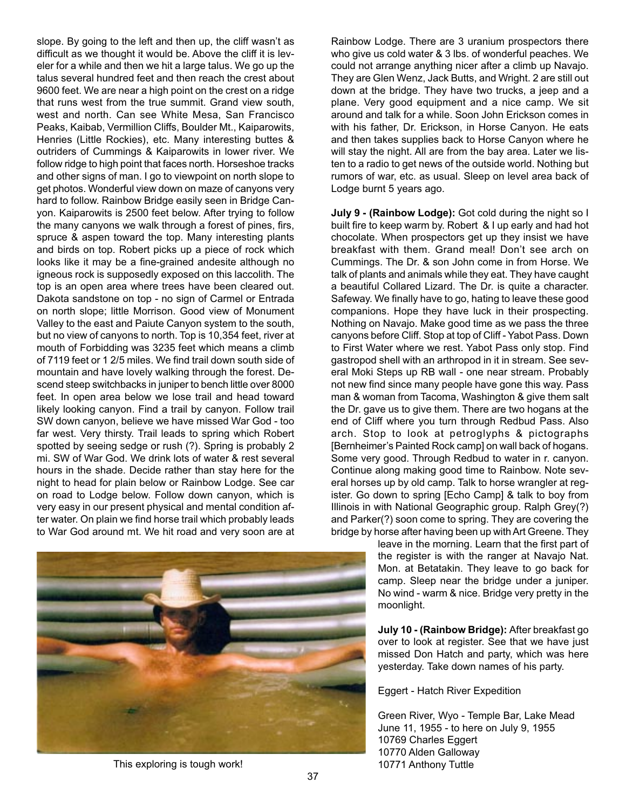slope. By going to the left and then up, the cliff wasn't as difficult as we thought it would be. Above the cliff it is leveler for a while and then we hit a large talus. We go up the talus several hundred feet and then reach the crest about 9600 feet. We are near a high point on the crest on a ridge that runs west from the true summit. Grand view south, west and north. Can see White Mesa, San Francisco Peaks, Kaibab, Vermillion Cliffs, Boulder Mt., Kaiparowits, Henries (Little Rockies), etc. Many interesting buttes & outriders of Cummings & Kaiparowits in lower river. We follow ridge to high point that faces north. Horseshoe tracks and other signs of man. I go to viewpoint on north slope to get photos. Wonderful view down on maze of canyons very hard to follow. Rainbow Bridge easily seen in Bridge Canyon. Kaiparowits is 2500 feet below. After trying to follow the many canyons we walk through a forest of pines, firs, spruce & aspen toward the top. Many interesting plants and birds on top. Robert picks up a piece of rock which looks like it may be a fine-grained andesite although no igneous rock is supposedly exposed on this laccolith. The top is an open area where trees have been cleared out. Dakota sandstone on top - no sign of Carmel or Entrada on north slope; little Morrison. Good view of Monument Valley to the east and Paiute Canyon system to the south, but no view of canyons to north. Top is 10,354 feet, river at mouth of Forbidding was 3235 feet which means a climb of 7119 feet or 1 2/5 miles. We find trail down south side of mountain and have lovely walking through the forest. Descend steep switchbacks in juniper to bench little over 8000 feet. In open area below we lose trail and head toward likely looking canyon. Find a trail by canyon. Follow trail SW down canyon, believe we have missed War God - too far west. Very thirsty. Trail leads to spring which Robert spotted by seeing sedge or rush (?). Spring is probably 2 mi. SW of War God. We drink lots of water & rest several hours in the shade. Decide rather than stay here for the night to head for plain below or Rainbow Lodge. See car on road to Lodge below. Follow down canyon, which is very easy in our present physical and mental condition after water. On plain we find horse trail which probably leads to War God around mt. We hit road and very soon are at



This exploring is tough work! 10771 Anthony Tuttle

Rainbow Lodge. There are 3 uranium prospectors there who give us cold water & 3 lbs. of wonderful peaches. We could not arrange anything nicer after a climb up Navajo. They are Glen Wenz, Jack Butts, and Wright. 2 are still out down at the bridge. They have two trucks, a jeep and a plane. Very good equipment and a nice camp. We sit around and talk for a while. Soon John Erickson comes in with his father, Dr. Erickson, in Horse Canyon. He eats and then takes supplies back to Horse Canyon where he will stay the night. All are from the bay area. Later we listen to a radio to get news of the outside world. Nothing but rumors of war, etc. as usual. Sleep on level area back of Lodge burnt 5 years ago.

**July 9 - (Rainbow Lodge):** Got cold during the night so I built fire to keep warm by. Robert & I up early and had hot chocolate. When prospectors get up they insist we have breakfast with them. Grand meal! Don't see arch on Cummings. The Dr. & son John come in from Horse. We talk of plants and animals while they eat. They have caught a beautiful Collared Lizard. The Dr. is quite a character. Safeway. We finally have to go, hating to leave these good companions. Hope they have luck in their prospecting. Nothing on Navajo. Make good time as we pass the three canyons before Cliff. Stop at top of Cliff - Yabot Pass. Down to First Water where we rest. Yabot Pass only stop. Find gastropod shell with an arthropod in it in stream. See several Moki Steps up RB wall - one near stream. Probably not new find since many people have gone this way. Pass man & woman from Tacoma, Washington & give them salt the Dr. gave us to give them. There are two hogans at the end of Cliff where you turn through Redbud Pass. Also arch. Stop to look at petroglyphs & pictographs [Bernheimer's Painted Rock camp] on wall back of hogans. Some very good. Through Redbud to water in r. canyon. Continue along making good time to Rainbow. Note several horses up by old camp. Talk to horse wrangler at register. Go down to spring [Echo Camp] & talk to boy from Illinois in with National Geographic group. Ralph Grey(?) and Parker(?) soon come to spring. They are covering the bridge by horse after having been up with Art Greene. They

> leave in the morning. Learn that the first part of the register is with the ranger at Navajo Nat. Mon. at Betatakin. They leave to go back for camp. Sleep near the bridge under a juniper. No wind - warm & nice. Bridge very pretty in the moonlight.

> **July 10 - (Rainbow Bridge):** After breakfast go over to look at register. See that we have just missed Don Hatch and party, which was here yesterday. Take down names of his party.

Eggert - Hatch River Expedition

Green River, Wyo - Temple Bar, Lake Mead June 11, 1955 - to here on July 9, 1955 10769 Charles Eggert 10770 Alden Galloway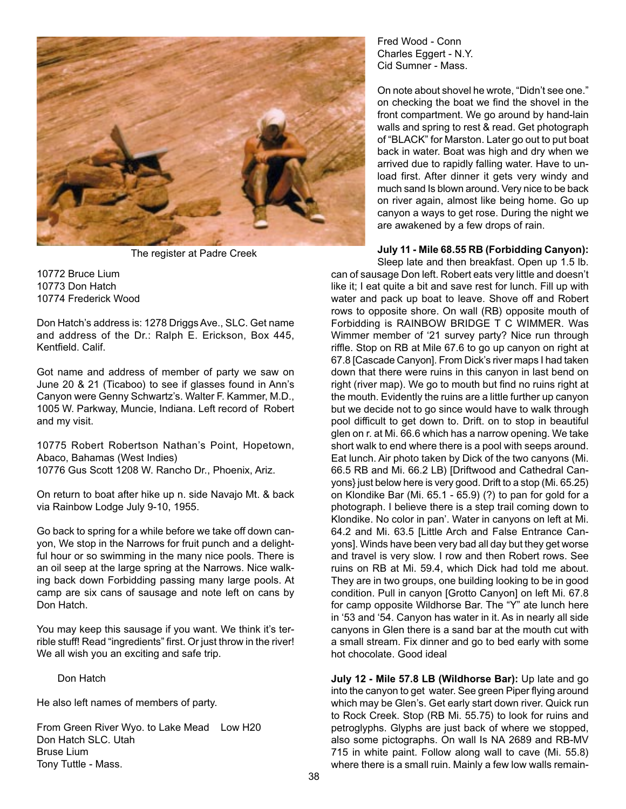

The register at Padre Creek

10772 Bruce Lium 10773 Don Hatch 10774 Frederick Wood

Don Hatch's address is: 1278 Driggs Ave., SLC. Get name and address of the Dr.: Ralph E. Erickson, Box 445, Kentfield. Calif.

Got name and address of member of party we saw on June 20 & 21 (Ticaboo) to see if glasses found in Ann's Canyon were Genny Schwartz's. Walter F. Kammer, M.D., 1005 W. Parkway, Muncie, Indiana. Left record of Robert and my visit.

10775 Robert Robertson Nathan's Point, Hopetown, Abaco, Bahamas (West Indies) 10776 Gus Scott 1208 W. Rancho Dr., Phoenix, Ariz.

On return to boat after hike up n. side Navajo Mt. & back via Rainbow Lodge July 9-10, 1955.

Go back to spring for a while before we take off down canyon, We stop in the Narrows for fruit punch and a delightful hour or so swimming in the many nice pools. There is an oil seep at the large spring at the Narrows. Nice walking back down Forbidding passing many large pools. At camp are six cans of sausage and note left on cans by Don Hatch.

You may keep this sausage if you want. We think it's terrible stuff! Read "ingredients" first. Or just throw in the river! We all wish you an exciting and safe trip.

Don Hatch

He also left names of members of party.

From Green River Wyo. to Lake Mead Low H20 Don Hatch SLC. Utah Bruse Lium Tony Tuttle - Mass.

Fred Wood - Conn Charles Eggert - N.Y. Cid Sumner - Mass.

On note about shovel he wrote, "Didn't see one." on checking the boat we find the shovel in the front compartment. We go around by hand-lain walls and spring to rest & read. Get photograph of "BLACK" for Marston. Later go out to put boat back in water. Boat was high and dry when we arrived due to rapidly falling water. Have to unload first. After dinner it gets very windy and much sand Is blown around. Very nice to be back on river again, almost like being home. Go up canyon a ways to get rose. During the night we are awakened by a few drops of rain.

**July 11 - Mile 68.55 RB (Forbidding Canyon):**

Sleep late and then breakfast. Open up 1.5 lb. can of sausage Don left. Robert eats very little and doesn't like it; I eat quite a bit and save rest for lunch. Fill up with water and pack up boat to leave. Shove off and Robert rows to opposite shore. On wall (RB) opposite mouth of Forbidding is RAINBOW BRIDGE T C WIMMER. Was Wimmer member of '21 survey party? Nice run through riffle. Stop on RB at Mile 67.6 to go up canyon on right at 67.8 [Cascade Canyon]. From Dick's river maps I had taken down that there were ruins in this canyon in last bend on right (river map). We go to mouth but find no ruins right at the mouth. Evidently the ruins are a little further up canyon but we decide not to go since would have to walk through pool difficult to get down to. Drift. on to stop in beautiful glen on r. at Mi. 66.6 which has a narrow opening. We take short walk to end where there is a pool with seeps around. Eat lunch. Air photo taken by Dick of the two canyons (Mi. 66.5 RB and Mi. 66.2 LB) [Driftwood and Cathedral Canyons} just below here is very good. Drift to a stop (Mi. 65.25) on Klondike Bar (Mi. 65.1 - 65.9) (?) to pan for gold for a photograph. I believe there is a step trail coming down to Klondike. No color in pan'. Water in canyons on left at Mi. 64.2 and Mi. 63.5 [Little Arch and False Entrance Canyons]. Winds have been very bad all day but they get worse and travel is very slow. I row and then Robert rows. See ruins on RB at Mi. 59.4, which Dick had told me about. They are in two groups, one building looking to be in good condition. Pull in canyon [Grotto Canyon] on left Mi. 67.8 for camp opposite Wildhorse Bar. The "Y" ate lunch here in '53 and '54. Canyon has water in it. As in nearly all side canyons in Glen there is a sand bar at the mouth cut with a small stream. Fix dinner and go to bed early with some hot chocolate. Good ideal

**July 12 - Mile 57.8 LB (Wildhorse Bar):** Up late and go into the canyon to get water. See green Piper flying around which may be Glen's. Get early start down river. Quick run to Rock Creek. Stop (RB Mi. 55.75) to look for ruins and petroglyphs. Glyphs are just back of where we stopped, also some pictographs. On wall Is NA 2689 and RB-MV 715 in white paint. Follow along wall to cave (Mi. 55.8) where there is a small ruin. Mainly a few low walls remain-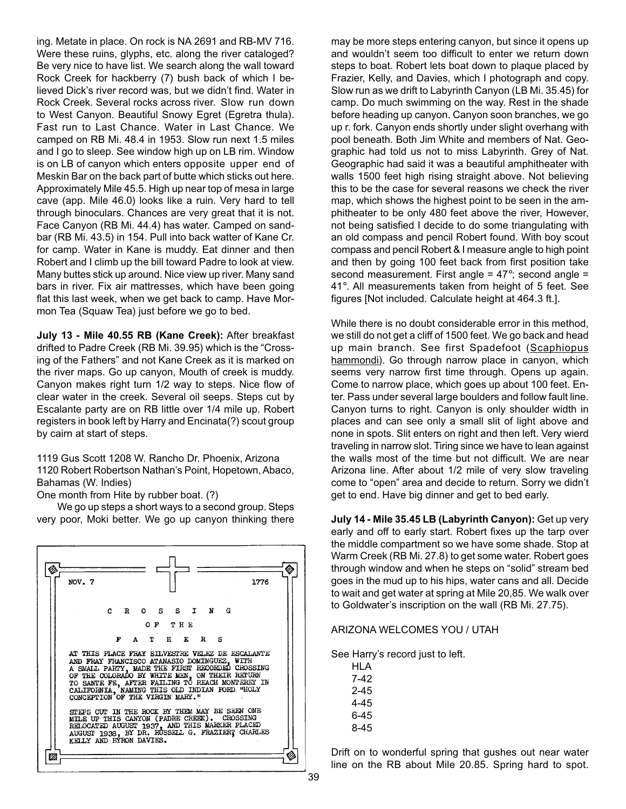ing. Metate in place. On rock is NA 2691 and RB-MV 716. Were these ruins, glyphs, etc. along the river cataloged? Be very nice to have list. We search along the wall toward Rock Creek for hackberry (7) bush back of which I believed Dick's river record was, but we didn't find. Water in Rock Creek. Several rocks across river. Slow run down to West Canyon. Beautiful Snowy Egret (Egretra thula). Fast run to Last Chance. Water in Last Chance. We camped on RB Mi. 48.4 in 1953. Slow run next 1.5 miles and I go to sleep. See window high up on LB rim. Window is on LB of canyon which enters opposite upper end of Meskin Bar on the back part of butte which sticks out here. Approximately Mile 45.5. High up near top of mesa in large cave (app. Mile 46.0) looks like a ruin. Very hard to tell through binoculars. Chances are very great that it is not. Face Canyon (RB Mi. 44.4) has water. Camped on sandbar (RB Mi. 43.5) in 154. Pull into back watter of Kane Cr. for camp. Water in Kane is muddy. Eat dinner and then Robert and I climb up the bill toward Padre to look at view. Many buttes stick up around. Nice view up river. Many sand bars in river. Fix air mattresses, which have been going flat this last week, when we get back to camp. Have Mormon Tea (Squaw Tea) just before we go to bed.

**July 13 - Mile 40.55 RB (Kane Creek):** After breakfast drifted to Padre Creek (RB Mi. 39.95) which is the "Crossing of the Fathers" and not Kane Creek as it is marked on the river maps. Go up canyon, Mouth of creek is muddy. Canyon makes right turn 1/2 way to steps. Nice flow of clear water in the creek. Several oil seeps. Steps cut by Escalante party are on RB little over 1/4 mile up. Robert registers in book left by Harry and Encinata(?) scout group by cairn at start of steps.

1119 Gus Scott 1208 W. Rancho Dr. Phoenix, Arizona 1120 Robert Robertson Nathan's Point, Hopetown, Abaco, Bahamas (W. Indies)

One month from Hite by rubber boat. (?)

We go up steps a short ways to a second group. Steps very poor, Moki better. We go up canyon thinking there



may be more steps entering canyon, but since it opens up and wouldn't seem too difficult to enter we return down steps to boat. Robert lets boat down to plaque placed by Frazier, Kelly, and Davies, which I photograph and copy. Slow run as we drift to Labyrinth Canyon (LB Mi. 35.45) for camp. Do much swimming on the way. Rest in the shade before heading up canyon. Canyon soon branches, we go up r. fork. Canyon ends shortly under slight overhang with pool beneath. Both Jim White and members of Nat. Geographic had told us not to miss Labyrinth. Grey of Nat. Geographic had said it was a beautiful amphitheater with walls 1500 feet high rising straight above. Not believing this to be the case for several reasons we check the river map, which shows the highest point to be seen in the amphitheater to be only 480 feet above the river, However, not being satisfied I decide to do some triangulating with an old compass and pencil Robert found. With boy scout compass and pencil Robert & I measure angle to high point and then by going 100 feet back from first position take second measurement. First angle  $= 47^{\circ}$ ; second angle  $=$ 41°. All measurements taken from height of 5 feet. See figures [Not included. Calculate height at 464.3 ft.].

While there is no doubt considerable error in this method, we still do not get a cliff of 1500 feet. We go back and head up main branch. See first Spadefoot (Scaphiopus hammondi). Go through narrow place in canyon, which seems very narrow first time through. Opens up again. Come to narrow place, which goes up about 100 feet. Enter. Pass under several large boulders and follow fault line. Canyon turns to right. Canyon is only shoulder width in places and can see only a small slit of light above and none in spots. Slit enters on right and then left. Very wierd traveling in narrow slot. Tiring since we have to lean against the walls most of the time but not difficult. We are near Arizona line. After about 1/2 mile of very slow traveling come to "open" area and decide to return. Sorry we didn't get to end. Have big dinner and get to bed early.

**July 14 - Mile 35.45 LB (Labyrinth Canyon):** Get up very early and off to early start. Robert fixes up the tarp over the middle compartment so we have some shade. Stop at Warm Creek (RB Mi. 27.8) to get some water. Robert goes through window and when he steps on "solid" stream bed goes in the mud up to his hips, water cans and all. Decide to wait and get water at spring at Mile 20,85. We walk over to Goldwater's inscription on the wall (RB Mi. 27.75).

#### ARIZONA WELCOMES YOU / UTAH

See Harry's record just to left.

HLA 7-42 2-45 4-45 6-45 8-45

Drift on to wonderful spring that gushes out near water line on the RB about Mile 20.85. Spring hard to spot.